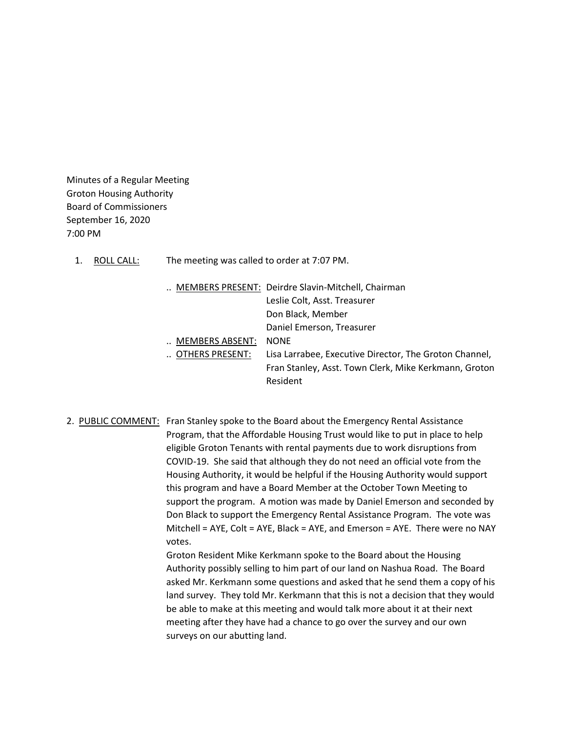Minutes of a Regular Meeting Groton Housing Authority Board of Commissioners September 16, 2020 7:00 PM

1. ROLL CALL: The meeting was called to order at 7:07 PM.

|                 | MEMBERS PRESENT: Deirdre Slavin-Mitchell, Chairman                |
|-----------------|-------------------------------------------------------------------|
|                 | Leslie Colt, Asst. Treasurer                                      |
|                 | Don Black, Member                                                 |
|                 | Daniel Emerson, Treasurer                                         |
| MEMBERS ABSENT: | <b>NONE</b>                                                       |
| OTHERS PRESENT: | Lisa Larrabee, Executive Director, The Groton Channel,            |
|                 | Fran Stanley, Asst. Town Clerk, Mike Kerkmann, Groton<br>Resident |

2. PUBLIC COMMENT: Fran Stanley spoke to the Board about the Emergency Rental Assistance Program, that the Affordable Housing Trust would like to put in place to help eligible Groton Tenants with rental payments due to work disruptions from COVID-19. She said that although they do not need an official vote from the Housing Authority, it would be helpful if the Housing Authority would support this program and have a Board Member at the October Town Meeting to support the program. A motion was made by Daniel Emerson and seconded by Don Black to support the Emergency Rental Assistance Program. The vote was Mitchell = AYE, Colt = AYE, Black = AYE, and Emerson = AYE. There were no NAY votes.

Groton Resident Mike Kerkmann spoke to the Board about the Housing Authority possibly selling to him part of our land on Nashua Road. The Board asked Mr. Kerkmann some questions and asked that he send them a copy of his land survey. They told Mr. Kerkmann that this is not a decision that they would be able to make at this meeting and would talk more about it at their next meeting after they have had a chance to go over the survey and our own surveys on our abutting land.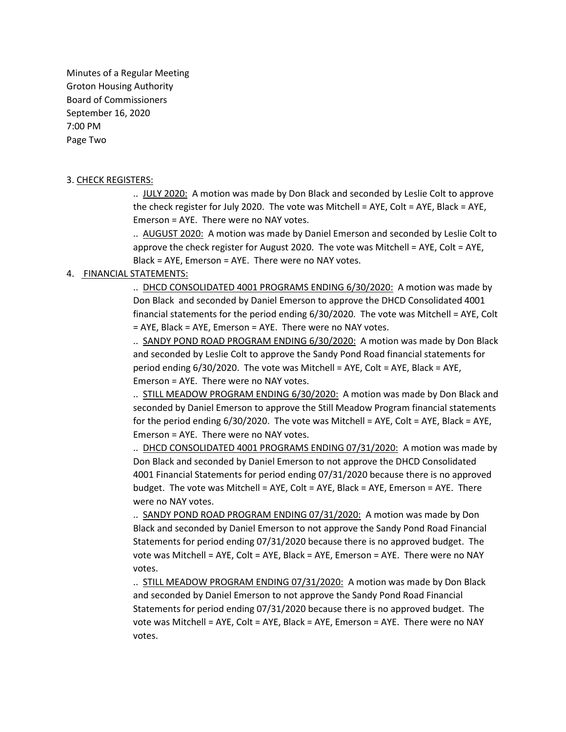Minutes of a Regular Meeting Groton Housing Authority Board of Commissioners September 16, 2020 7:00 PM Page Two

#### 3. CHECK REGISTERS:

.. JULY 2020: A motion was made by Don Black and seconded by Leslie Colt to approve the check register for July 2020. The vote was Mitchell = AYE, Colt = AYE, Black = AYE, Emerson = AYE. There were no NAY votes.

.. AUGUST 2020: A motion was made by Daniel Emerson and seconded by Leslie Colt to approve the check register for August 2020. The vote was Mitchell = AYE, Colt = AYE, Black = AYE, Emerson = AYE. There were no NAY votes.

## 4. FINANCIAL STATEMENTS:

.. DHCD CONSOLIDATED 4001 PROGRAMS ENDING 6/30/2020: A motion was made by Don Black and seconded by Daniel Emerson to approve the DHCD Consolidated 4001 financial statements for the period ending 6/30/2020. The vote was Mitchell = AYE, Colt = AYE, Black = AYE, Emerson = AYE. There were no NAY votes.

.. SANDY POND ROAD PROGRAM ENDING 6/30/2020: A motion was made by Don Black and seconded by Leslie Colt to approve the Sandy Pond Road financial statements for period ending 6/30/2020. The vote was Mitchell = AYE, Colt = AYE, Black = AYE, Emerson = AYE. There were no NAY votes.

.. STILL MEADOW PROGRAM ENDING 6/30/2020: A motion was made by Don Black and seconded by Daniel Emerson to approve the Still Meadow Program financial statements for the period ending 6/30/2020. The vote was Mitchell = AYE, Colt = AYE, Black = AYE, Emerson = AYE. There were no NAY votes.

.. DHCD CONSOLIDATED 4001 PROGRAMS ENDING 07/31/2020: A motion was made by Don Black and seconded by Daniel Emerson to not approve the DHCD Consolidated 4001 Financial Statements for period ending 07/31/2020 because there is no approved budget. The vote was Mitchell = AYE, Colt = AYE, Black = AYE, Emerson = AYE. There were no NAY votes.

.. SANDY POND ROAD PROGRAM ENDING 07/31/2020: A motion was made by Don Black and seconded by Daniel Emerson to not approve the Sandy Pond Road Financial Statements for period ending 07/31/2020 because there is no approved budget. The vote was Mitchell = AYE, Colt = AYE, Black = AYE, Emerson = AYE. There were no NAY votes.

.. STILL MEADOW PROGRAM ENDING 07/31/2020: A motion was made by Don Black and seconded by Daniel Emerson to not approve the Sandy Pond Road Financial Statements for period ending 07/31/2020 because there is no approved budget. The vote was Mitchell = AYE, Colt = AYE, Black = AYE, Emerson = AYE. There were no NAY votes.